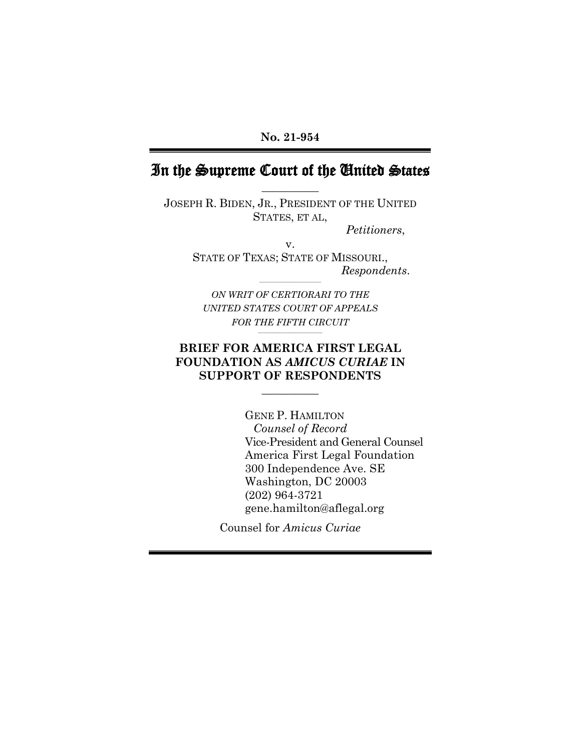# In the Supreme Court of the United States **\_\_\_\_\_\_\_\_\_\_**

JOSEPH R. BIDEN, JR., PRESIDENT OF THE UNITED STATES, ET AL,

*Petitioners*,

v. STATE OF TEXAS; STATE OF MISSOURI., *Respondents*.

*ON WRIT OF CERTIORARI TO THE UNITED STATES COURT OF APPEALS FOR THE FIFTH CIRCUIT*

**\_\_\_\_\_\_\_\_\_\_\_\_\_\_\_\_\_\_\_\_\_\_\_\_\_\_\_** 

**\_\_\_\_\_\_\_\_\_\_\_\_\_\_\_\_\_\_\_\_\_\_\_\_\_\_** 

### **BRIEF FOR AMERICA FIRST LEGAL FOUNDATION AS** *AMICUS CURIAE* **IN SUPPORT OF RESPONDENTS**

**\_\_\_\_\_\_\_\_\_\_** 

GENE P. HAMILTON  *Counsel of Record* Vice-President and General Counsel America First Legal Foundation 300 Independence Ave. SE Washington, DC 20003 (202) 964-3721 gene.hamilton@aflegal.org

Counsel for *Amicus Curiae*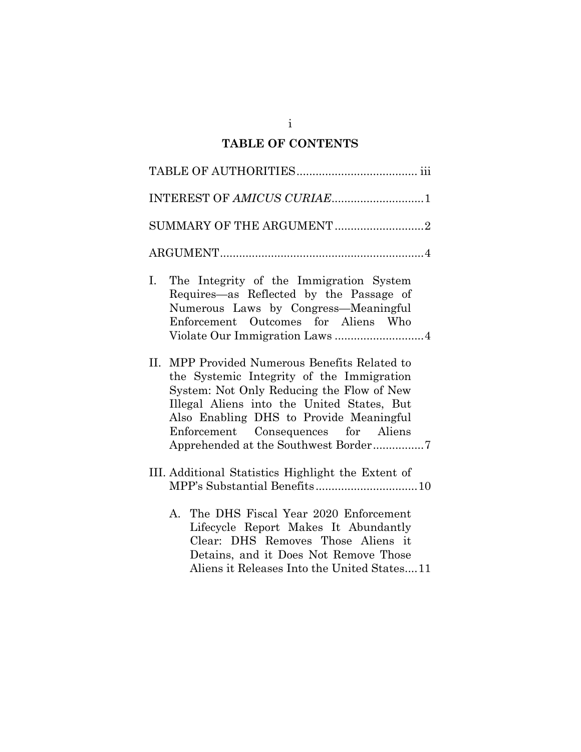# **TABLE OF CONTENTS**

| INTEREST OF AMICUS CURIAE1                                                                                                                                                                                                                                                                                      |
|-----------------------------------------------------------------------------------------------------------------------------------------------------------------------------------------------------------------------------------------------------------------------------------------------------------------|
| SUMMARY OF THE ARGUMENT 2                                                                                                                                                                                                                                                                                       |
|                                                                                                                                                                                                                                                                                                                 |
| Ι.<br>The Integrity of the Immigration System<br>Requires—as Reflected by the Passage of<br>Numerous Laws by Congress-Meaningful<br>Enforcement Outcomes for Aliens Who                                                                                                                                         |
| II. MPP Provided Numerous Benefits Related to<br>the Systemic Integrity of the Immigration<br>System: Not Only Reducing the Flow of New<br>Illegal Aliens into the United States, But<br>Also Enabling DHS to Provide Meaningful<br>Enforcement Consequences for Aliens<br>Apprehended at the Southwest Border7 |
| III. Additional Statistics Highlight the Extent of                                                                                                                                                                                                                                                              |
| A. The DHS Fiscal Year 2020 Enforcement<br>Lifecycle Report Makes It Abundantly<br>Clear: DHS Removes Those Aliens it<br>Detains, and it Does Not Remove Those<br>Aliens it Releases Into the United States11                                                                                                   |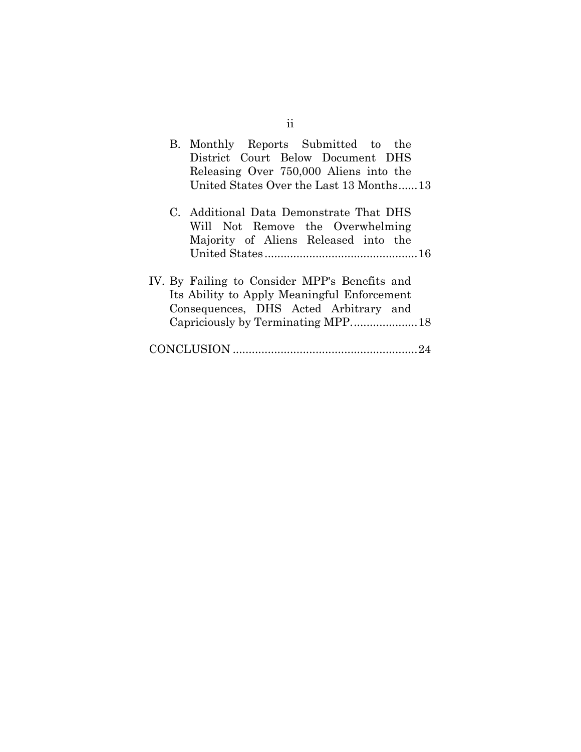| B. Monthly Reports Submitted to the<br>District Court Below Document DHS<br>Releasing Over 750,000 Aliens into the<br>United States Over the Last 13 Months13 |
|---------------------------------------------------------------------------------------------------------------------------------------------------------------|
| C. Additional Data Demonstrate That DHS<br>Will Not Remove the Overwhelming<br>Majority of Aliens Released into the                                           |
| IV. By Failing to Consider MPP's Benefits and<br>Its Ability to Apply Meaningful Enforcement<br>Consequences, DHS Acted Arbitrary and                         |
|                                                                                                                                                               |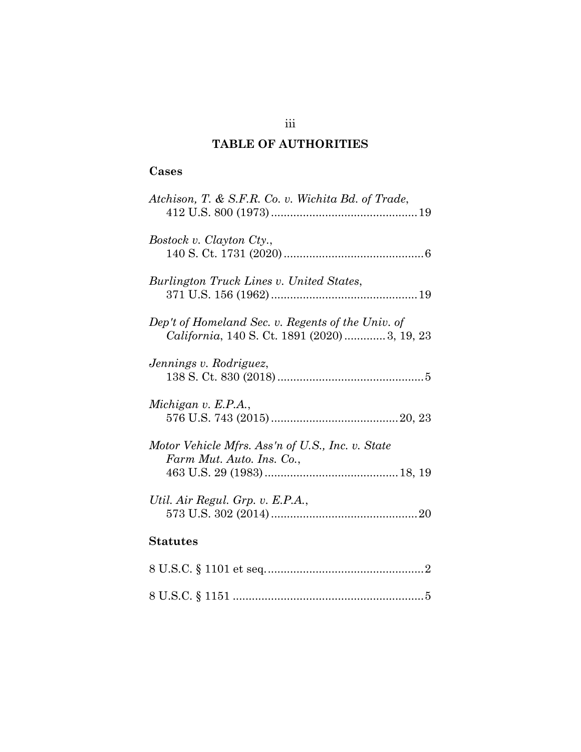# **TABLE OF AUTHORITIES**

## **Cases**

| Atchison, T. & S.F.R. Co. v. Wichita Bd. of Trade,                                                 |
|----------------------------------------------------------------------------------------------------|
| Bostock v. Clayton Cty.,                                                                           |
| Burlington Truck Lines v. United States,                                                           |
| Dep't of Homeland Sec. v. Regents of the Univ. of<br>California, 140 S. Ct. 1891 (2020)  3, 19, 23 |
| Jennings v. Rodriguez,                                                                             |
| Michigan v. E.P.A.,                                                                                |
| Motor Vehicle Mfrs. Ass'n of U.S., Inc. v. State<br>Farm Mut. Auto. Ins. Co.,                      |
| Util. Air Regul. Grp. v. E.P.A.,                                                                   |
| <b>Statutes</b>                                                                                    |
|                                                                                                    |
|                                                                                                    |

## iii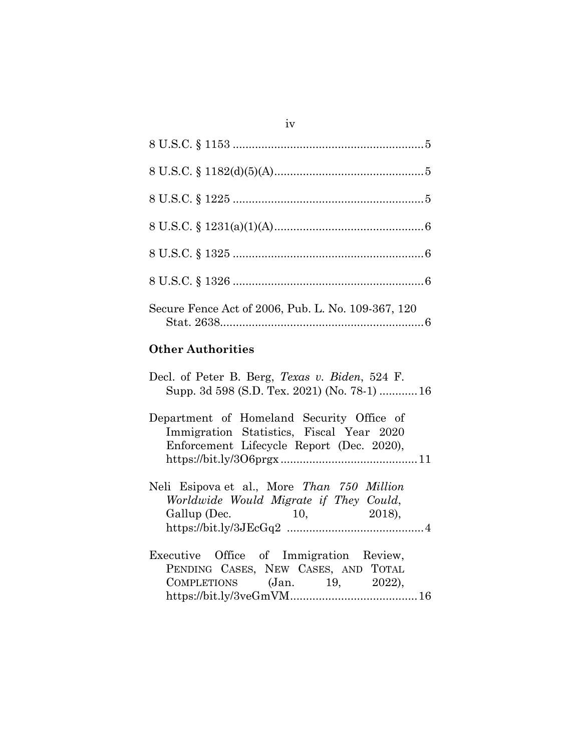| Secure Fence Act of 2006, Pub. L. No. 109-367, 120 |
|----------------------------------------------------|

# **Other Authorities**

| Decl. of Peter B. Berg, Texas v. Biden, 524 F. |  |
|------------------------------------------------|--|
| Supp. 3d 598 (S.D. Tex. 2021) (No. 78-1)  16   |  |
| Department of Homeland Security Office of      |  |
| Immigration Statistics, Fiscal Year 2020       |  |
| Enforcement Lifecycle Report (Dec. 2020),      |  |
| $\frac{https://bit.ly/306prgx}{11}$            |  |
|                                                |  |
| Neli Esipova et al., More Than 750 Million     |  |
| Worldwide Would Migrate if They Could,         |  |
| Gallup (Dec. 10, 2018),                        |  |
|                                                |  |
|                                                |  |
| Executive Office of Immigration Review,        |  |
| PENDING CASES, NEW CASES, AND TOTAL            |  |
| COMPLETIONS (Jan. 19, 2022),                   |  |
|                                                |  |
|                                                |  |

iv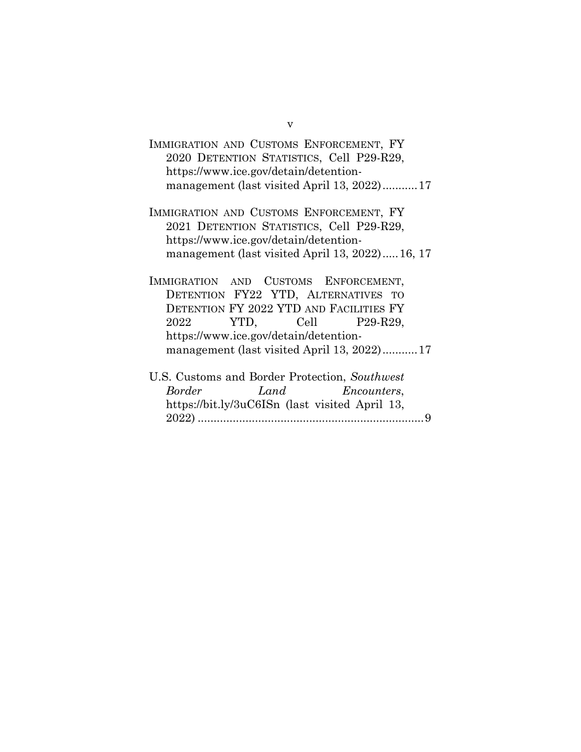| IMMIGRATION AND CUSTOMS ENFORCEMENT, FY    |  |
|--------------------------------------------|--|
| 2020 DETENTION STATISTICS, Cell P29-R29,   |  |
| https://www.ice.gov/detain/detention-      |  |
| management (last visited April 13, 2022)17 |  |

IMMIGRATION AND CUSTOMS ENFORCEMENT, FY 2021 DETENTION STATISTICS, Cell P29-R29, https://www.ice.gov/detain/detentionmanagement (last visited April 13, 2022).....16, 17

IMMIGRATION AND CUSTOMS ENFORCEMENT, DETENTION FY22 YTD, ALTERNATIVES TO DETENTION FY 2022 YTD AND FACILITIES FY 2022 YTD, Cell P29-R29, https://www.ice.gov/detain/detentionmanagement (last visited April 13, 2022)........... 17

|               | U.S. Customs and Border Protection, Southwest  |  |
|---------------|------------------------------------------------|--|
| <b>Border</b> | Land Encounters,                               |  |
|               | https://bit.ly/3uC6ISn (last visited April 13, |  |
|               |                                                |  |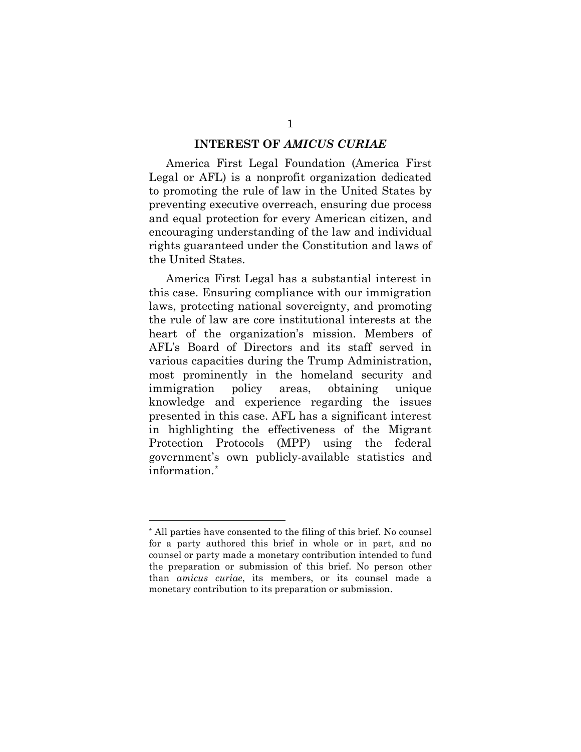#### **INTEREST OF** *AMICUS CURIAE*

America First Legal Foundation (America First Legal or AFL) is a nonprofit organization dedicated to promoting the rule of law in the United States by preventing executive overreach, ensuring due process and equal protection for every American citizen, and encouraging understanding of the law and individual rights guaranteed under the Constitution and laws of the United States.

America First Legal has a substantial interest in this case. Ensuring compliance with our immigration laws, protecting national sovereignty, and promoting the rule of law are core institutional interests at the heart of the organization's mission. Members of AFL's Board of Directors and its staff served in various capacities during the Trump Administration, most prominently in the homeland security and immigration policy areas, obtaining unique knowledge and experience regarding the issues presented in this case. AFL has a significant interest in highlighting the effectiveness of the Migrant Protection Protocols (MPP) using the federal government's own publicly-available statistics and information.[\\*](#page-6-0)

<span id="page-6-0"></span><sup>\*</sup> All parties have consented to the filing of this brief. No counsel for a party authored this brief in whole or in part, and no counsel or party made a monetary contribution intended to fund the preparation or submission of this brief. No person other than *amicus curiae*, its members, or its counsel made a monetary contribution to its preparation or submission.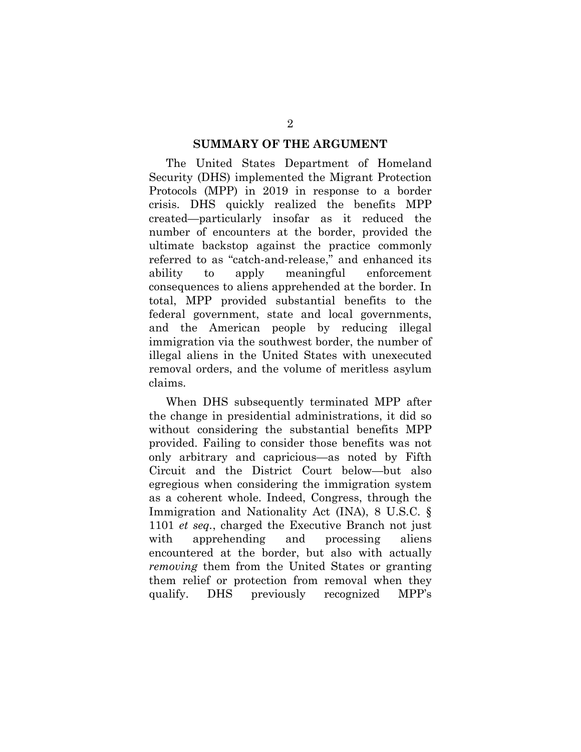#### **SUMMARY OF THE ARGUMENT**

The United States Department of Homeland Security (DHS) implemented the Migrant Protection Protocols (MPP) in 2019 in response to a border crisis. DHS quickly realized the benefits MPP created—particularly insofar as it reduced the number of encounters at the border, provided the ultimate backstop against the practice commonly referred to as "catch-and-release," and enhanced its ability to apply meaningful enforcement consequences to aliens apprehended at the border. In total, MPP provided substantial benefits to the federal government, state and local governments, and the American people by reducing illegal immigration via the southwest border, the number of illegal aliens in the United States with unexecuted removal orders, and the volume of meritless asylum claims.

When DHS subsequently terminated MPP after the change in presidential administrations, it did so without considering the substantial benefits MPP provided. Failing to consider those benefits was not only arbitrary and capricious—as noted by Fifth Circuit and the District Court below—but also egregious when considering the immigration system as a coherent whole. Indeed, Congress, through the Immigration and Nationality Act (INA), 8 U.S.C. § 1101 *et seq.*, charged the Executive Branch not just with apprehending and processing aliens encountered at the border, but also with actually *removing* them from the United States or granting them relief or protection from removal when they qualify. DHS previously recognized MPP's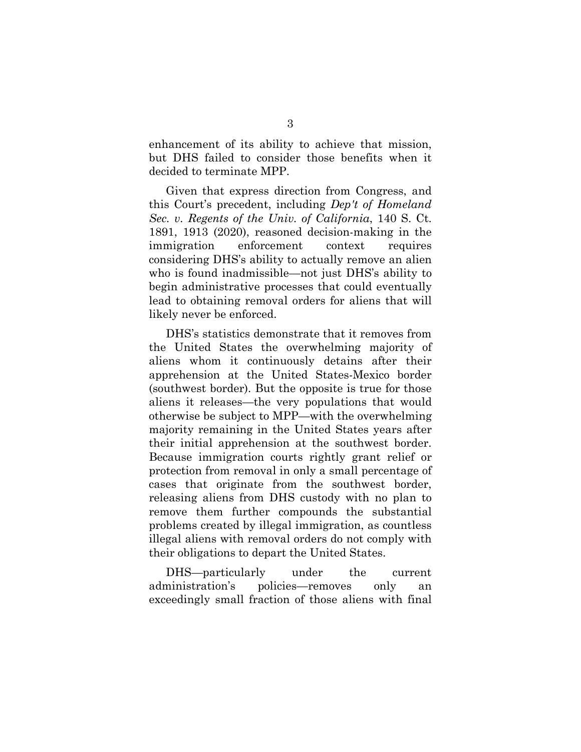enhancement of its ability to achieve that mission, but DHS failed to consider those benefits when it decided to terminate MPP.

Given that express direction from Congress, and this Court's precedent, including *Dep't of Homeland Sec. v. Regents of the Univ. of California*, 140 S. Ct. 1891, 1913 (2020), reasoned decision-making in the immigration enforcement context requires considering DHS's ability to actually remove an alien who is found inadmissible—not just DHS's ability to begin administrative processes that could eventually lead to obtaining removal orders for aliens that will likely never be enforced.

DHS's statistics demonstrate that it removes from the United States the overwhelming majority of aliens whom it continuously detains after their apprehension at the United States-Mexico border (southwest border). But the opposite is true for those aliens it releases—the very populations that would otherwise be subject to MPP—with the overwhelming majority remaining in the United States years after their initial apprehension at the southwest border. Because immigration courts rightly grant relief or protection from removal in only a small percentage of cases that originate from the southwest border, releasing aliens from DHS custody with no plan to remove them further compounds the substantial problems created by illegal immigration, as countless illegal aliens with removal orders do not comply with their obligations to depart the United States.

DHS—particularly under the current administration's policies—removes only an exceedingly small fraction of those aliens with final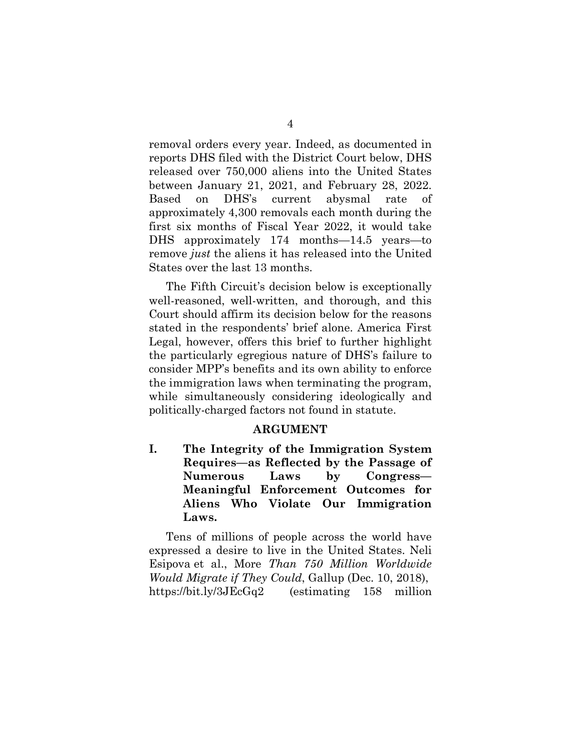removal orders every year. Indeed, as documented in reports DHS filed with the District Court below, DHS released over 750,000 aliens into the United States between January 21, 2021, and February 28, 2022. Based on DHS's current abysmal rate of approximately 4,300 removals each month during the first six months of Fiscal Year 2022, it would take DHS approximately 174 months—14.5 years—to remove *just* the aliens it has released into the United States over the last 13 months.

The Fifth Circuit's decision below is exceptionally well-reasoned, well-written, and thorough, and this Court should affirm its decision below for the reasons stated in the respondents' brief alone. America First Legal, however, offers this brief to further highlight the particularly egregious nature of DHS's failure to consider MPP's benefits and its own ability to enforce the immigration laws when terminating the program, while simultaneously considering ideologically and politically-charged factors not found in statute.

#### **ARGUMENT**

**I. The Integrity of the Immigration System Requires—as Reflected by the Passage of Numerous Laws by Congress— Meaningful Enforcement Outcomes for Aliens Who Violate Our Immigration Laws.** 

Tens of millions of people across the world have expressed a desire to live in the United States. Neli Esipova et al., More *Than 750 Million Worldwide Would Migrate if They Could*, Gallup (Dec. 10, 2018), https://bit.ly/3JEcGq2 (estimating 158 million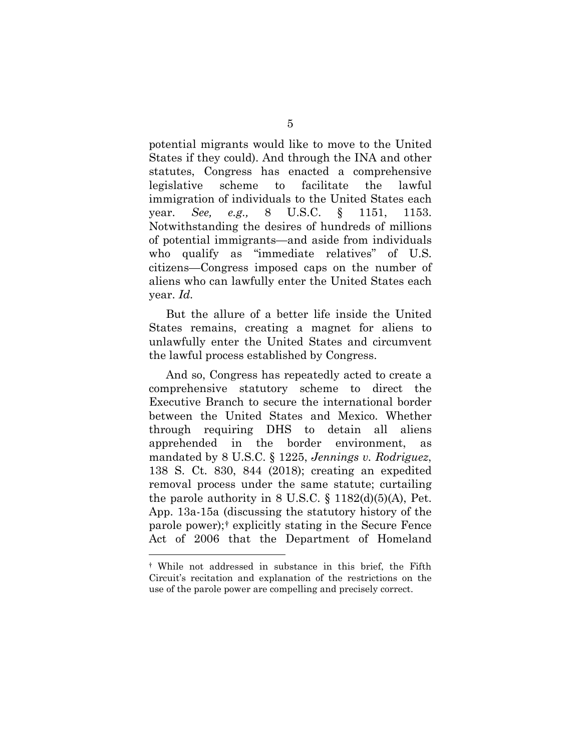potential migrants would like to move to the United States if they could). And through the INA and other statutes, Congress has enacted a comprehensive legislative scheme to facilitate the lawful immigration of individuals to the United States each year. *See, e.g.,* 8 U.S.C. § 1151, 1153. Notwithstanding the desires of hundreds of millions of potential immigrants—and aside from individuals who qualify as "immediate relatives" of U.S. citizens—Congress imposed caps on the number of aliens who can lawfully enter the United States each year. *Id.* 

But the allure of a better life inside the United States remains, creating a magnet for aliens to unlawfully enter the United States and circumvent the lawful process established by Congress.

And so, Congress has repeatedly acted to create a comprehensive statutory scheme to direct the Executive Branch to secure the international border between the United States and Mexico. Whether through requiring DHS to detain all aliens apprehended in the border environment, mandated by 8 U.S.C. § 1225, *Jennings v. Rodriguez*, 138 S. Ct. 830, 844 (2018); creating an expedited removal process under the same statute; curtailing the parole authority in  $8 \text{ U.S.C.} \$   $1182\text{ (d)}(5)$ (A), Pet. App. 13a-15a (discussing the statutory history of the parole power);[†](#page-10-0) explicitly stating in the Secure Fence Act of 2006 that the Department of Homeland

<span id="page-10-0"></span><sup>†</sup> While not addressed in substance in this brief, the Fifth Circuit's recitation and explanation of the restrictions on the use of the parole power are compelling and precisely correct.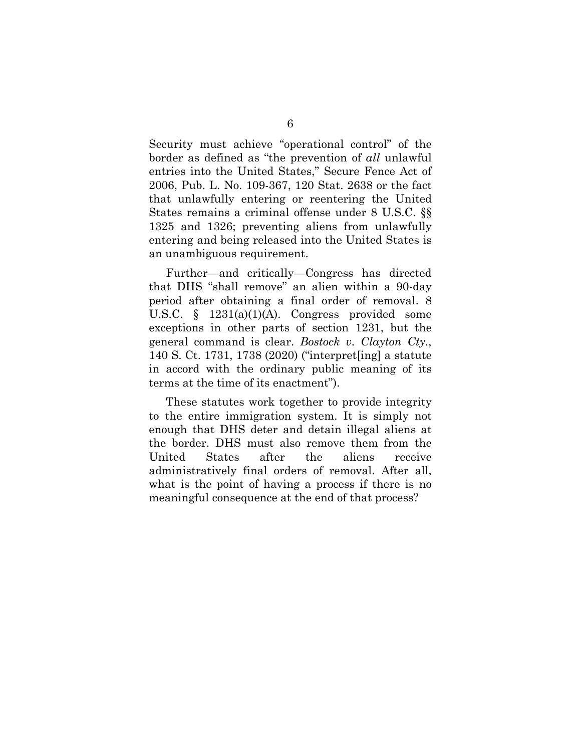Security must achieve "operational control" of the border as defined as "the prevention of *all* unlawful entries into the United States," Secure Fence Act of 2006, Pub. L. No. 109-367, 120 Stat. 2638 or the fact that unlawfully entering or reentering the United States remains a criminal offense under 8 U.S.C. §§ 1325 and 1326; preventing aliens from unlawfully entering and being released into the United States is an unambiguous requirement.

Further—and critically—Congress has directed that DHS "shall remove" an alien within a 90-day period after obtaining a final order of removal. 8 U.S.C. § 1231(a)(1)(A). Congress provided some exceptions in other parts of section 1231, but the general command is clear. *Bostock v. Clayton Cty.*, 140 S. Ct. 1731, 1738 (2020) ("interpret[ing] a statute in accord with the ordinary public meaning of its terms at the time of its enactment").

These statutes work together to provide integrity to the entire immigration system. It is simply not enough that DHS deter and detain illegal aliens at the border. DHS must also remove them from the United States after the aliens receive administratively final orders of removal. After all, what is the point of having a process if there is no meaningful consequence at the end of that process?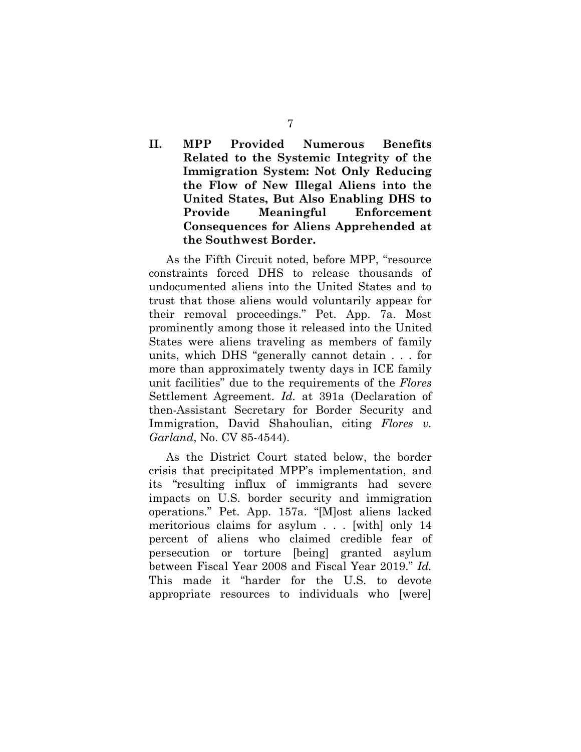## **II. MPP Provided Numerous Benefits Related to the Systemic Integrity of the Immigration System: Not Only Reducing the Flow of New Illegal Aliens into the United States, But Also Enabling DHS to Provide Meaningful Enforcement Consequences for Aliens Apprehended at the Southwest Border.**

As the Fifth Circuit noted, before MPP, "resource constraints forced DHS to release thousands of undocumented aliens into the United States and to trust that those aliens would voluntarily appear for their removal proceedings." Pet. App. 7a. Most prominently among those it released into the United States were aliens traveling as members of family units, which DHS "generally cannot detain . . . for more than approximately twenty days in ICE family unit facilities" due to the requirements of the *Flores*  Settlement Agreement. *Id.* at 391a (Declaration of then-Assistant Secretary for Border Security and Immigration, David Shahoulian, citing *Flores v. Garland*, No. CV 85-4544).

As the District Court stated below, the border crisis that precipitated MPP's implementation, and its "resulting influx of immigrants had severe impacts on U.S. border security and immigration operations." Pet. App. 157a. "[M]ost aliens lacked meritorious claims for asylum . . . [with] only 14 percent of aliens who claimed credible fear of persecution or torture [being] granted asylum between Fiscal Year 2008 and Fiscal Year 2019." *Id.* This made it "harder for the U.S. to devote appropriate resources to individuals who [were]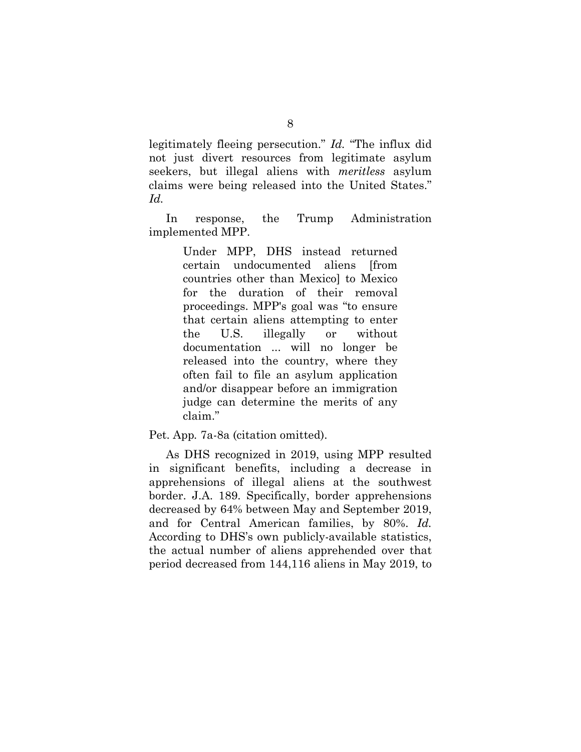legitimately fleeing persecution." *Id.* "The influx did not just divert resources from legitimate asylum seekers, but illegal aliens with *meritless* asylum claims were being released into the United States." *Id.*

In response, the Trump Administration implemented MPP.

> Under MPP, DHS instead returned certain undocumented aliens [from countries other than Mexico] to Mexico for the duration of their removal proceedings. MPP's goal was "to ensure that certain aliens attempting to enter the U.S. illegally or without documentation ... will no longer be released into the country, where they often fail to file an asylum application and/or disappear before an immigration judge can determine the merits of any claim."

#### Pet. App*.* 7a-8a (citation omitted).

As DHS recognized in 2019, using MPP resulted in significant benefits, including a decrease in apprehensions of illegal aliens at the southwest border. J.A. 189. Specifically, border apprehensions decreased by 64% between May and September 2019, and for Central American families, by 80%. *Id.* According to DHS's own publicly-available statistics, the actual number of aliens apprehended over that period decreased from 144,116 aliens in May 2019, to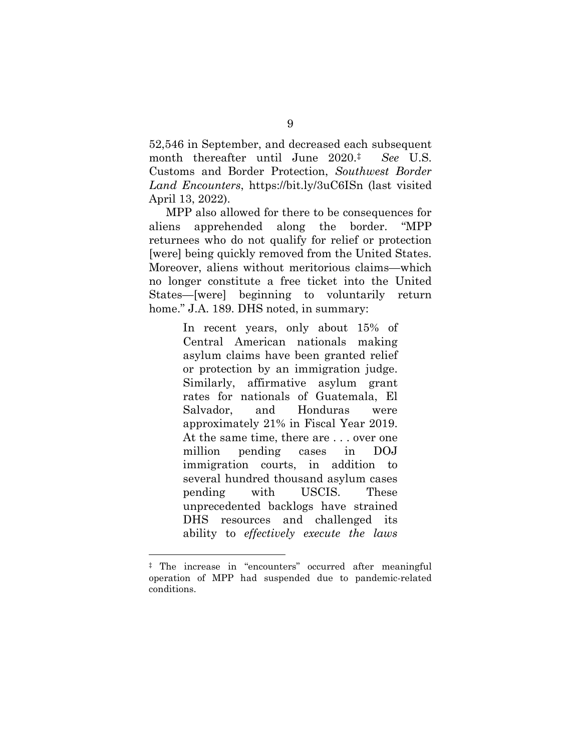52,546 in September, and decreased each subsequent month thereafter until June 2020[.‡](#page-14-0) *See* U.S. Customs and Border Protection, *Southwest Border Land Encounters*, [https://bit.ly/3uC6ISn \(](https://bit.ly/3uC6ISn)last visited April 13, 2022).

MPP also allowed for there to be consequences for aliens apprehended along the border. "MPP returnees who do not qualify for relief or protection [were] being quickly removed from the United States. Moreover, aliens without meritorious claims—which no longer constitute a free ticket into the United States—[were] beginning to voluntarily return home." J.A. 189. DHS noted, in summary:

> In recent years, only about 15% of Central American nationals making asylum claims have been granted relief or protection by an immigration judge. Similarly, affirmative asylum grant rates for nationals of Guatemala, El Salvador, and Honduras were approximately 21% in Fiscal Year 2019. At the same time, there are . . . over one million pending cases in DOJ immigration courts, in addition to several hundred thousand asylum cases pending with USCIS. These unprecedented backlogs have strained DHS resources and challenged its ability to *effectively execute the laws*

<span id="page-14-0"></span><sup>‡</sup> The increase in "encounters" occurred after meaningful operation of MPP had suspended due to pandemic-related conditions.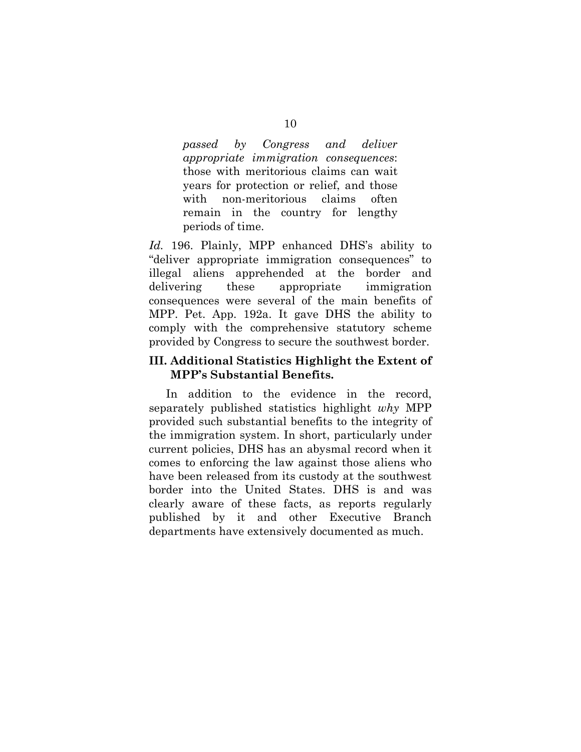*passed by Congress and deliver appropriate immigration consequences*: those with meritorious claims can wait years for protection or relief, and those with non-meritorious claims often remain in the country for lengthy periods of time.

*Id.* 196. Plainly, MPP enhanced DHS's ability to "deliver appropriate immigration consequences" to illegal aliens apprehended at the border and delivering these appropriate immigration consequences were several of the main benefits of MPP. Pet. App. 192a. It gave DHS the ability to comply with the comprehensive statutory scheme provided by Congress to secure the southwest border.

#### **III. Additional Statistics Highlight the Extent of MPP's Substantial Benefits.**

In addition to the evidence in the record, separately published statistics highlight *why* MPP provided such substantial benefits to the integrity of the immigration system. In short, particularly under current policies, DHS has an abysmal record when it comes to enforcing the law against those aliens who have been released from its custody at the southwest border into the United States. DHS is and was clearly aware of these facts, as reports regularly published by it and other Executive Branch departments have extensively documented as much.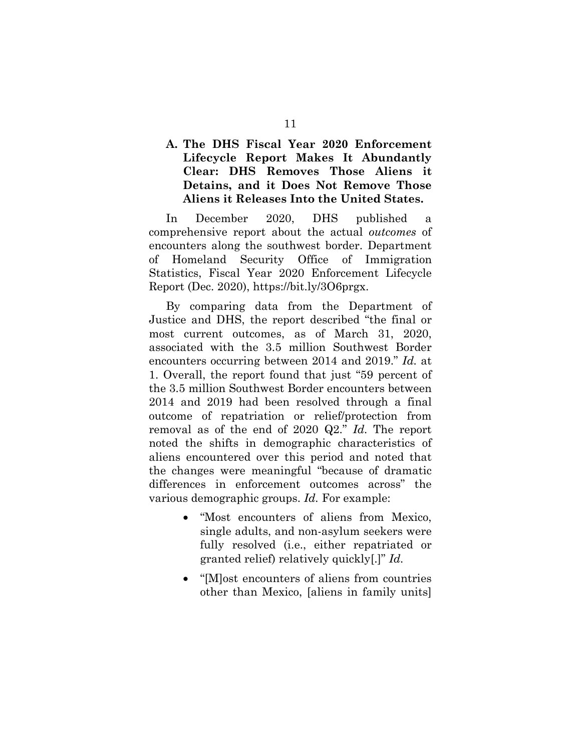### **A. The DHS Fiscal Year 2020 Enforcement Lifecycle Report Makes It Abundantly Clear: DHS Removes Those Aliens it Detains, and it Does Not Remove Those Aliens it Releases Into the United States.**

In December 2020, DHS published a comprehensive report about the actual *outcomes* of encounters along the southwest border. Department of Homeland Security Office of Immigration Statistics, Fiscal Year 2020 Enforcement Lifecycle Report (Dec. 2020), [https://bit.ly/3O6prgx.](https://bit.ly/3O6prgx)

By comparing data from the Department of Justice and DHS, the report described "the final or most current outcomes, as of March 31, 2020, associated with the 3.5 million Southwest Border encounters occurring between 2014 and 2019." *Id.* at 1. Overall, the report found that just "59 percent of the 3.5 million Southwest Border encounters between 2014 and 2019 had been resolved through a final outcome of repatriation or relief/protection from removal as of the end of 2020 Q2." *Id.* The report noted the shifts in demographic characteristics of aliens encountered over this period and noted that the changes were meaningful "because of dramatic differences in enforcement outcomes across" the various demographic groups. *Id.* For example:

- "Most encounters of aliens from Mexico, single adults, and non-asylum seekers were fully resolved (i.e., either repatriated or granted relief) relatively quickly[.]" *Id.*
- "[M]ost encounters of aliens from countries other than Mexico, [aliens in family units]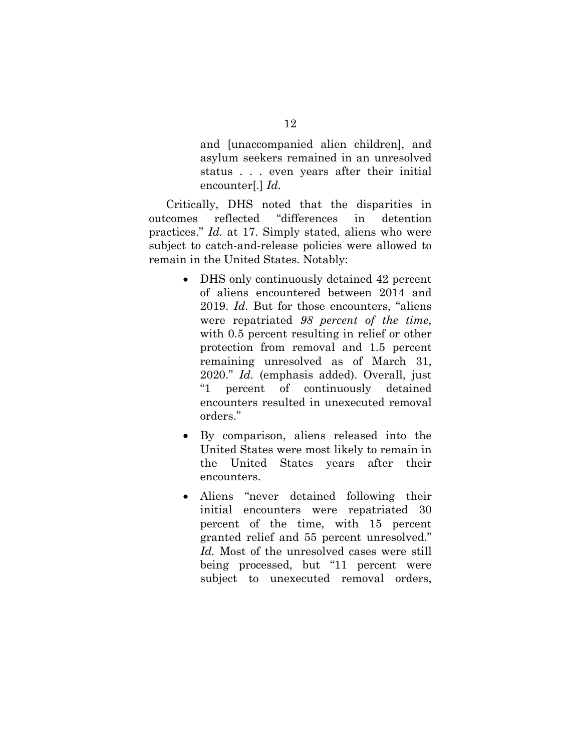and [unaccompanied alien children], and asylum seekers remained in an unresolved status . . . even years after their initial encounter[.] *Id.*

Critically, DHS noted that the disparities in outcomes reflected "differences in detention practices." *Id.* at 17. Simply stated, aliens who were subject to catch-and-release policies were allowed to remain in the United States. Notably:

- DHS only continuously detained 42 percent of aliens encountered between 2014 and 2019. *Id.* But for those encounters, "aliens were repatriated *98 percent of the time*, with 0.5 percent resulting in relief or other protection from removal and 1.5 percent remaining unresolved as of March 31, 2020." *Id.* (emphasis added). Overall, just "1 percent of continuously detained encounters resulted in unexecuted removal orders."
- By comparison, aliens released into the United States were most likely to remain in the United States years after their encounters.
- Aliens "never detained following their initial encounters were repatriated 30 percent of the time, with 15 percent granted relief and 55 percent unresolved." *Id.* Most of the unresolved cases were still being processed, but "11 percent were subject to unexecuted removal orders,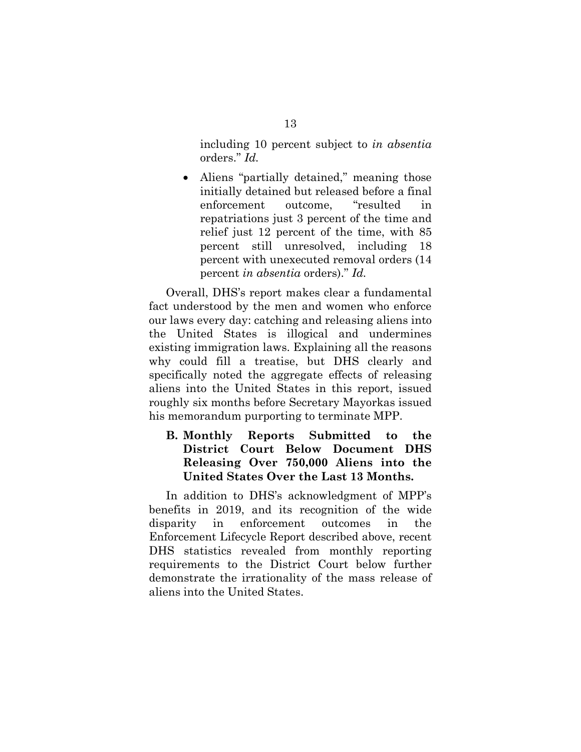including 10 percent subject to *in absentia*  orders." *Id.*

• Aliens "partially detained," meaning those initially detained but released before a final enforcement outcome, "resulted in repatriations just 3 percent of the time and relief just 12 percent of the time, with 85 percent still unresolved, including 18 percent with unexecuted removal orders (14 percent *in absentia* orders)." *Id.*

Overall, DHS's report makes clear a fundamental fact understood by the men and women who enforce our laws every day: catching and releasing aliens into the United States is illogical and undermines existing immigration laws. Explaining all the reasons why could fill a treatise, but DHS clearly and specifically noted the aggregate effects of releasing aliens into the United States in this report, issued roughly six months before Secretary Mayorkas issued his memorandum purporting to terminate MPP.

### **B. Monthly Reports Submitted to the District Court Below Document DHS Releasing Over 750,000 Aliens into the United States Over the Last 13 Months.**

In addition to DHS's acknowledgment of MPP's benefits in 2019, and its recognition of the wide disparity in enforcement outcomes in the Enforcement Lifecycle Report described above, recent DHS statistics revealed from monthly reporting requirements to the District Court below further demonstrate the irrationality of the mass release of aliens into the United States.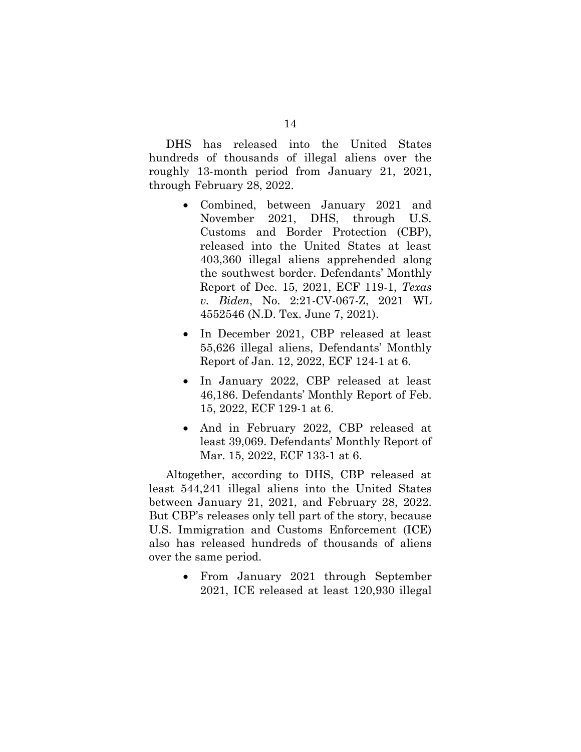DHS has released into the United States hundreds of thousands of illegal aliens over the roughly 13-month period from January 21, 2021, through February 28, 2022.

- Combined, between January 2021 and November 2021, DHS, through U.S. Customs and Border Protection (CBP), released into the United States at least 403,360 illegal aliens apprehended along the southwest border. Defendants' Monthly Report of Dec. 15, 2021, ECF 119-1, *Texas v. Biden*, No. 2:21-CV-067-Z, 2021 WL 4552546 (N.D. Tex. June 7, 2021).
- In December 2021, CBP released at least 55,626 illegal aliens, Defendants' Monthly Report of Jan. 12, 2022, ECF 124-1 at 6.
- In January 2022, CBP released at least 46,186. Defendants' Monthly Report of Feb. 15, 2022, ECF 129-1 at 6.
- And in February 2022, CBP released at least 39,069. Defendants' Monthly Report of Mar. 15, 2022, ECF 133-1 at 6.

Altogether, according to DHS, CBP released at least 544,241 illegal aliens into the United States between January 21, 2021, and February 28, 2022. But CBP's releases only tell part of the story, because U.S. Immigration and Customs Enforcement (ICE) also has released hundreds of thousands of aliens over the same period.

> • From January 2021 through September 2021, ICE released at least 120,930 illegal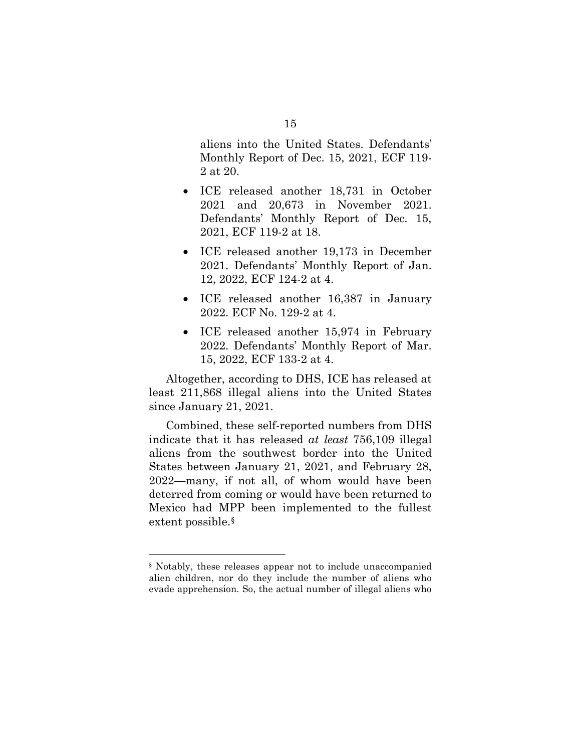aliens into the United States. Defendants' Monthly Report of Dec. 15, 2021, ECF 119- 2 at 20.

- ICE released another 18,731 in October 2021 and 20,673 in November 2021. Defendants' Monthly Report of Dec. 15, 2021, ECF 119-2 at 18.
- ICE released another 19,173 in December 2021. Defendants' Monthly Report of Jan. 12, 2022, ECF 124-2 at 4.
- ICE released another 16,387 in January 2022. ECF No. 129-2 at 4.
- ICE released another 15,974 in February 2022. Defendants' Monthly Report of Mar. 15, 2022, ECF 133-2 at 4.

Altogether, according to DHS, ICE has released at least 211,868 illegal aliens into the United States since January 21, 2021.

Combined, these self-reported numbers from DHS indicate that it has released *at least* 756,109 illegal aliens from the southwest border into the United States between January 21, 2021, and February 28, 2022—many, if not all, of whom would have been deterred from coming or would have been returned to Mexico had MPP been implemented to the fullest extent possible[.§](#page-20-0) 

<span id="page-20-0"></span><sup>§</sup> Notably, these releases appear not to include unaccompanied alien children, nor do they include the number of aliens who evade apprehension. So, the actual number of illegal aliens who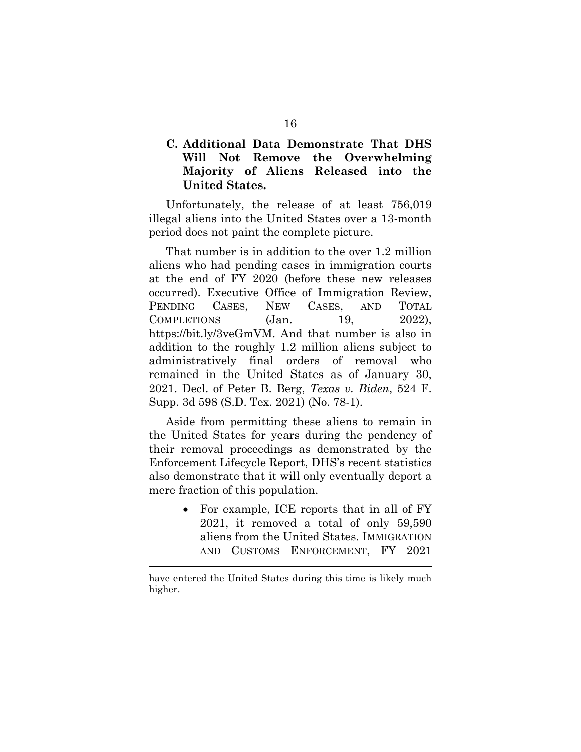### **C. Additional Data Demonstrate That DHS Will Not Remove the Overwhelming Majority of Aliens Released into the United States.**

Unfortunately, the release of at least 756,019 illegal aliens into the United States over a 13-month period does not paint the complete picture.

That number is in addition to the over 1.2 million aliens who had pending cases in immigration courts at the end of FY 2020 (before these new releases occurred). Executive Office of Immigration Review, PENDING CASES, NEW CASES, AND TOTAL  $COMPLETIONS$  (Jan. 19, 2022), https://bit.ly/3veGmVM. And that number is also in addition to the roughly 1.2 million aliens subject to administratively final orders of removal who remained in the United States as of January 30, 2021. Decl. of Peter B. Berg, *Texas v. Biden*, 524 F. Supp. 3d 598 (S.D. Tex. 2021) (No. 78-1).

Aside from permitting these aliens to remain in the United States for years during the pendency of their removal proceedings as demonstrated by the Enforcement Lifecycle Report, DHS's recent statistics also demonstrate that it will only eventually deport a mere fraction of this population.

> • For example, ICE reports that in all of FY 2021, it removed a total of only 59,590 aliens from the United States. IMMIGRATION AND CUSTOMS ENFORCEMENT, FY 2021

have entered the United States during this time is likely much higher.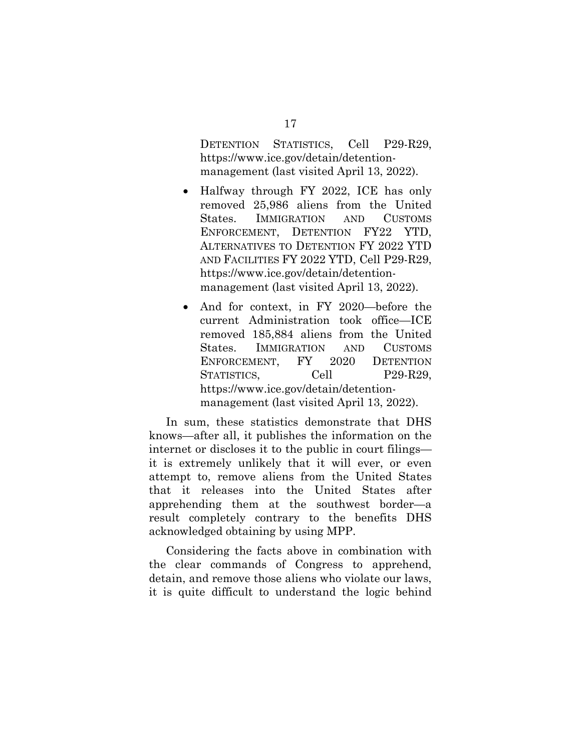DETENTION STATISTICS, Cell P29-R29, https://www.ice.gov/detain/detentionmanagement (last visited April 13, 2022).

- Halfway through FY 2022, ICE has only removed 25,986 aliens from the United States. IMMIGRATION AND CUSTOMS ENFORCEMENT, DETENTION FY22 YTD, ALTERNATIVES TO DETENTION FY 2022 YTD AND FACILITIES FY 2022 YTD, Cell P29-R29, https://www.ice.gov/detain/detentionmanagement (last visited April 13, 2022).
- And for context, in FY 2020—before the current Administration took office—ICE removed 185,884 aliens from the United States. IMMIGRATION AND CUSTOMS ENFORCEMENT, FY 2020 DETENTION STATISTICS, Cell P29-R29, https://www.ice.gov/detain/detentionmanagement (last visited April 13, 2022).

In sum, these statistics demonstrate that DHS knows—after all, it publishes the information on the internet or discloses it to the public in court filings it is extremely unlikely that it will ever, or even attempt to, remove aliens from the United States that it releases into the United States after apprehending them at the southwest border—a result completely contrary to the benefits DHS acknowledged obtaining by using MPP.

Considering the facts above in combination with the clear commands of Congress to apprehend, detain, and remove those aliens who violate our laws, it is quite difficult to understand the logic behind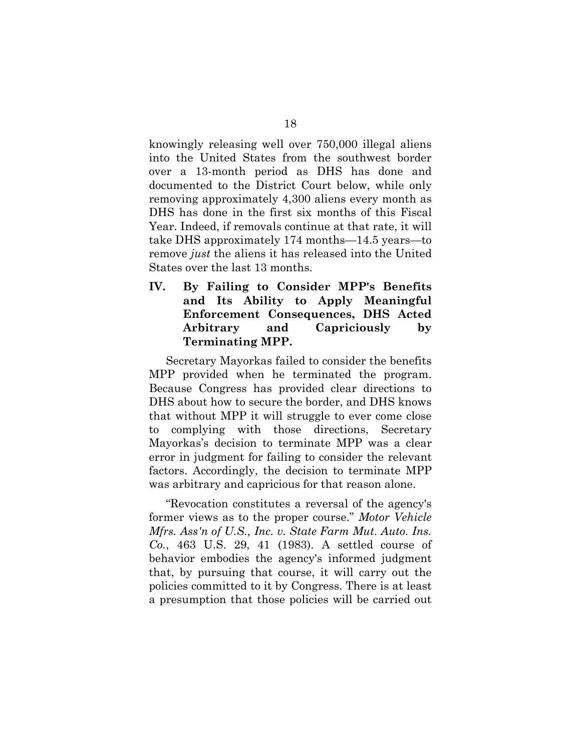knowingly releasing well over 750,000 illegal aliens into the United States from the southwest border over a 13-month period as DHS has done and documented to the District Court below, while only removing approximately 4,300 aliens every month as DHS has done in the first six months of this Fiscal Year. Indeed, if removals continue at that rate, it will take DHS approximately 174 months—14.5 years—to remove *just* the aliens it has released into the United States over the last 13 months.

**IV. By Failing to Consider MPP's Benefits and Its Ability to Apply Meaningful Enforcement Consequences, DHS Acted Arbitrary and Capriciously by Terminating MPP.** 

Secretary Mayorkas failed to consider the benefits MPP provided when he terminated the program. Because Congress has provided clear directions to DHS about how to secure the border, and DHS knows that without MPP it will struggle to ever come close to complying with those directions, Secretary Mayorkas's decision to terminate MPP was a clear error in judgment for failing to consider the relevant factors. Accordingly, the decision to terminate MPP was arbitrary and capricious for that reason alone.

"Revocation constitutes a reversal of the agency's former views as to the proper course." *Motor Vehicle Mfrs. Ass'n of U.S., Inc. v. State Farm Mut. Auto. Ins. Co.*, 463 U.S. 29, 41 (1983). A settled course of behavior embodies the agency's informed judgment that, by pursuing that course, it will carry out the policies committed to it by Congress. There is at least a presumption that those policies will be carried out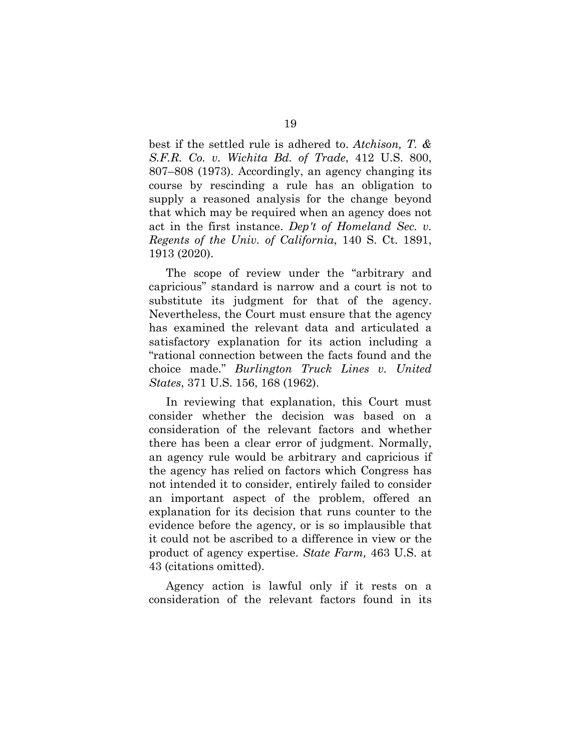best if the settled rule is adhered to. *Atchison, T. & S.F.R. Co. v. Wichita Bd. of Trade*, 412 U.S. 800, 807–808 (1973). Accordingly, an agency changing its course by rescinding a rule has an obligation to supply a reasoned analysis for the change beyond that which may be required when an agency does not act in the first instance. *Dep't of Homeland Sec. v. Regents of the Univ. of California*, 140 S. Ct. 1891, 1913 (2020).

The scope of review under the "arbitrary and capricious" standard is narrow and a court is not to substitute its judgment for that of the agency. Nevertheless, the Court must ensure that the agency has examined the relevant data and articulated a satisfactory explanation for its action including a "rational connection between the facts found and the choice made." *Burlington Truck Lines v. United States*, 371 U.S. 156, 168 (1962).

In reviewing that explanation, this Court must consider whether the decision was based on a consideration of the relevant factors and whether there has been a clear error of judgment. Normally, an agency rule would be arbitrary and capricious if the agency has relied on factors which Congress has not intended it to consider, entirely failed to consider an important aspect of the problem, offered an explanation for its decision that runs counter to the evidence before the agency, or is so implausible that it could not be ascribed to a difference in view or the product of agency expertise. *State Farm,* 463 U.S. at 43 (citations omitted).

Agency action is lawful only if it rests on a consideration of the relevant factors found in its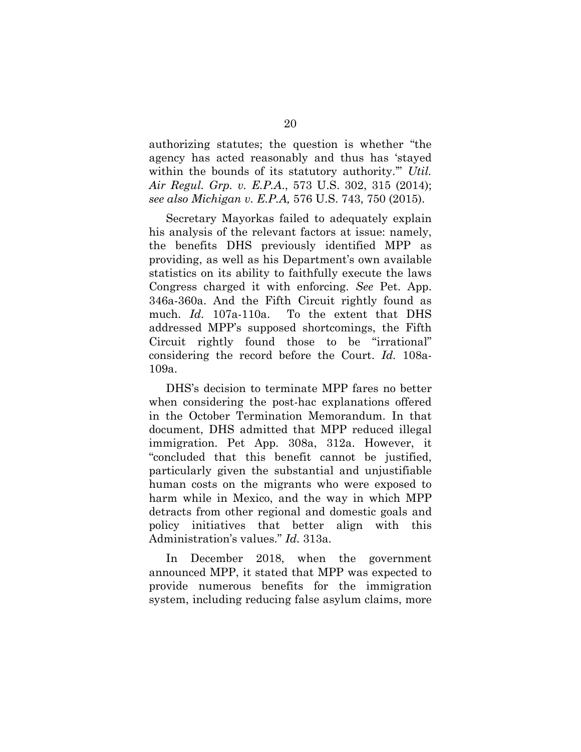authorizing statutes; the question is whether "the agency has acted reasonably and thus has 'stayed within the bounds of its statutory authority." *Util. Air Regul. Grp. v. E.P.A*., 573 U.S. 302, 315 (2014); *see also Michigan v. E.P.A,* 576 U.S. 743, 750 (2015).

Secretary Mayorkas failed to adequately explain his analysis of the relevant factors at issue: namely, the benefits DHS previously identified MPP as providing, as well as his Department's own available statistics on its ability to faithfully execute the laws Congress charged it with enforcing. *See* Pet. App. 346a-360a. And the Fifth Circuit rightly found as much. *Id.* 107a-110a. To the extent that DHS addressed MPP's supposed shortcomings, the Fifth Circuit rightly found those to be "irrational" considering the record before the Court. *Id.* 108a-109a.

DHS's decision to terminate MPP fares no better when considering the post-hac explanations offered in the October Termination Memorandum. In that document, DHS admitted that MPP reduced illegal immigration. Pet App. 308a, 312a. However, it "concluded that this benefit cannot be justified, particularly given the substantial and unjustifiable human costs on the migrants who were exposed to harm while in Mexico, and the way in which MPP detracts from other regional and domestic goals and policy initiatives that better align with this Administration's values." *Id.* 313a.

In December 2018, when the government announced MPP, it stated that MPP was expected to provide numerous benefits for the immigration system, including reducing false asylum claims, more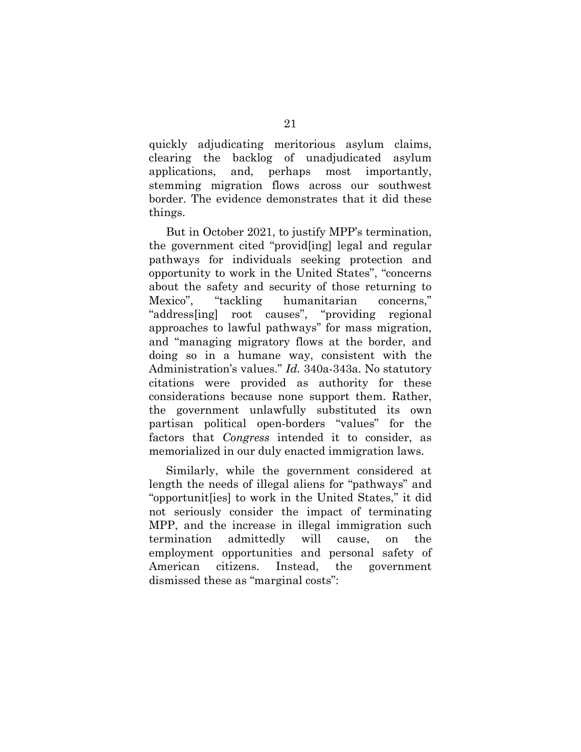quickly adjudicating meritorious asylum claims, clearing the backlog of unadjudicated asylum applications, and, perhaps most importantly, stemming migration flows across our southwest border. The evidence demonstrates that it did these things.

But in October 2021, to justify MPP's termination, the government cited "provid[ing] legal and regular pathways for individuals seeking protection and opportunity to work in the United States", "concerns about the safety and security of those returning to Mexico", "tackling humanitarian concerns," "address[ing] root causes", "providing regional approaches to lawful pathways" for mass migration, and "managing migratory flows at the border, and doing so in a humane way, consistent with the Administration's values." *Id.* 340a-343a. No statutory citations were provided as authority for these considerations because none support them. Rather, the government unlawfully substituted its own partisan political open-borders "values" for the factors that *Congress* intended it to consider, as memorialized in our duly enacted immigration laws.

Similarly, while the government considered at length the needs of illegal aliens for "pathways" and "opportunit[ies] to work in the United States," it did not seriously consider the impact of terminating MPP, and the increase in illegal immigration such termination admittedly will cause, on the employment opportunities and personal safety of American citizens. Instead, the government dismissed these as "marginal costs":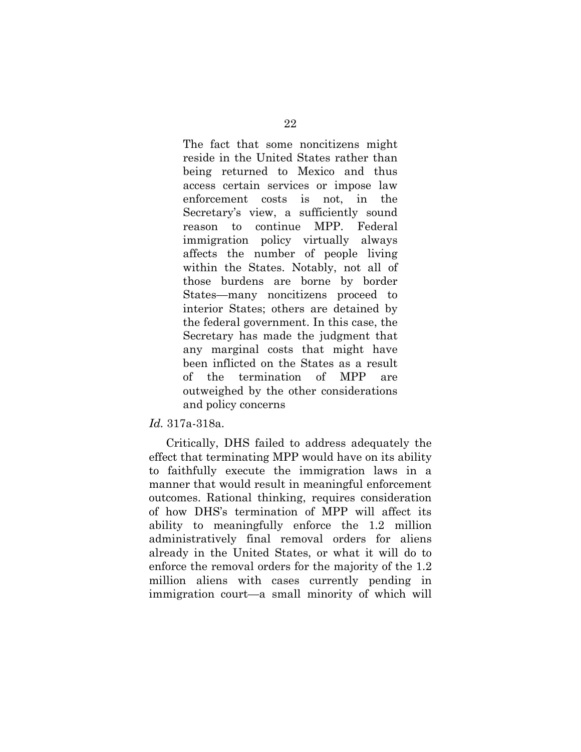The fact that some noncitizens might reside in the United States rather than being returned to Mexico and thus access certain services or impose law enforcement costs is not, in the Secretary's view, a sufficiently sound reason to continue MPP. Federal immigration policy virtually always affects the number of people living within the States. Notably, not all of those burdens are borne by border States—many noncitizens proceed to interior States; others are detained by the federal government. In this case, the Secretary has made the judgment that any marginal costs that might have been inflicted on the States as a result of the termination of MPP are outweighed by the other considerations and policy concerns

#### *Id.* 317a-318a.

Critically, DHS failed to address adequately the effect that terminating MPP would have on its ability to faithfully execute the immigration laws in a manner that would result in meaningful enforcement outcomes. Rational thinking, requires consideration of how DHS's termination of MPP will affect its ability to meaningfully enforce the 1.2 million administratively final removal orders for aliens already in the United States, or what it will do to enforce the removal orders for the majority of the 1.2 million aliens with cases currently pending in immigration court—a small minority of which will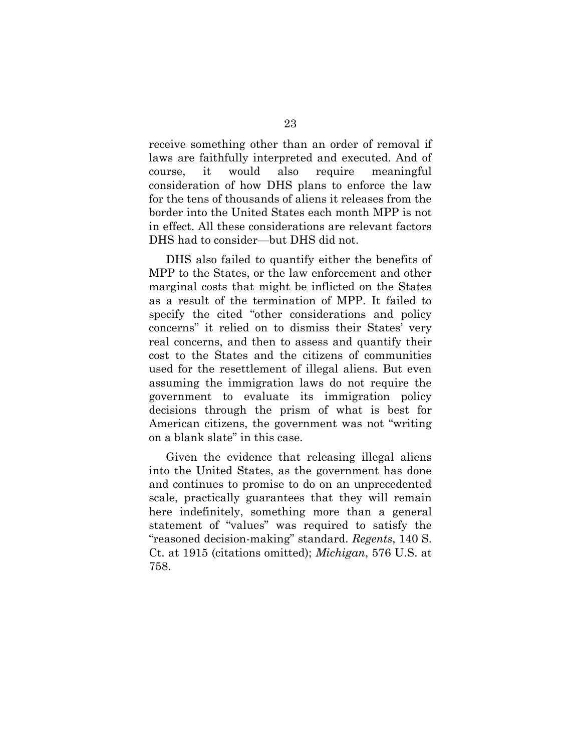receive something other than an order of removal if laws are faithfully interpreted and executed. And of course, it would also require meaningful consideration of how DHS plans to enforce the law for the tens of thousands of aliens it releases from the border into the United States each month MPP is not in effect. All these considerations are relevant factors DHS had to consider—but DHS did not.

DHS also failed to quantify either the benefits of MPP to the States, or the law enforcement and other marginal costs that might be inflicted on the States as a result of the termination of MPP. It failed to specify the cited "other considerations and policy concerns" it relied on to dismiss their States' very real concerns, and then to assess and quantify their cost to the States and the citizens of communities used for the resettlement of illegal aliens. But even assuming the immigration laws do not require the government to evaluate its immigration policy decisions through the prism of what is best for American citizens, the government was not "writing on a blank slate" in this case.

Given the evidence that releasing illegal aliens into the United States, as the government has done and continues to promise to do on an unprecedented scale, practically guarantees that they will remain here indefinitely, something more than a general statement of "values" was required to satisfy the "reasoned decision-making" standard. *Regents*, 140 S. Ct. at 1915 (citations omitted); *Michigan*, 576 U.S. at 758.